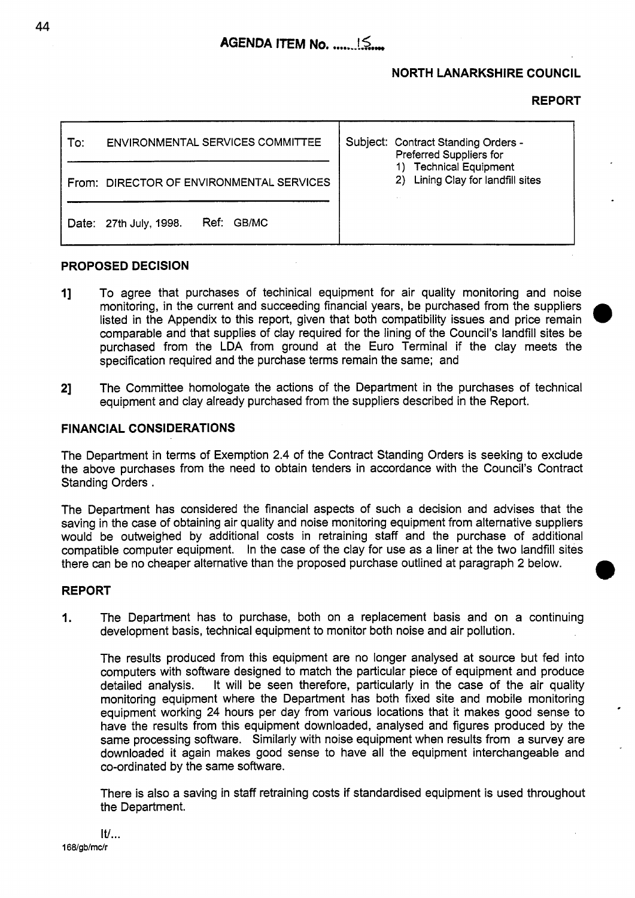# **NORTH LANARKSHIRE COUNCIL**

## **REPORT**

| To: | ENVIRONMENTAL SERVICES COMMITTEE         |  | Subject: Contract Standing Orders -<br>Preferred Suppliers for<br><b>Technical Equipment</b><br>2) Lining Clay for landfill sites |
|-----|------------------------------------------|--|-----------------------------------------------------------------------------------------------------------------------------------|
|     | From: DIRECTOR OF ENVIRONMENTAL SERVICES |  |                                                                                                                                   |
|     | Ref: GB/MC<br>Date: 27th July, 1998.     |  |                                                                                                                                   |

### **PROPOSED DECISION**

- **I]** To agree that purchases of techinical equipment for air quality monitoring and noise monitoring, in the current and succeeding financial years, be purchased from the suppliers listed in the Appendix to this report, given that both compatibility issues and price remain comparable and that supplies of clay required for the lining of the Council's landfill sites be purchased from the LDA from ground at the Euro Terminal if the clay meets the specification required and the purchase terms remain the same; and
- **21** The Committee homologate the actions of the Department in the purchases of technical equipment and clay already purchased from the suppliers described in the Report.

## **FINANCIAL CONSIDERATIONS**

The Department in terms of Exemption **2.4** of the Contract Standing Orders is seeking to exclude the above purchases from the need to obtain tenders in accordance with the Council's Contract Standing Orders .

The Department has considered the financial aspects of such a decision and advises that the saving in the case of obtaining air quality and noise monitoring equipment from alternative suppliers would be outweighed by additional costs in retraining staff and the purchase of additional compatible computer equipment. In the case of the clay for use **as** a liner at the two landfill sites there can be no cheaper alternative than the proposed purchase outlined at paragraph **2** below.

#### **REPORT**

**1.** The Department has to purchase, both on a replacement basis and on a continuing development basis, technical equipment to monitor both noise and air pollution.

The results produced from this equipment are no longer analysed at source but fed into computers with software designed to match the particular piece of equipment and produce detailed analysis. It will be seen therefore, particularly in the case of the air quality monitoring equipment where the Department has both fixed site and mobile monitoring equipment working 24 hours per day from various locations that it makes good sense to have the results from this equipment downloaded, analysed and figures produced by the same processing software. Similarly with noise equipment when results from a survey are downloaded it again makes good sense to have all the equipment interchangeable and co-ordinated by the same software.

There is also a saving in staff retraining costs if standardised equipment is used throughout the Department.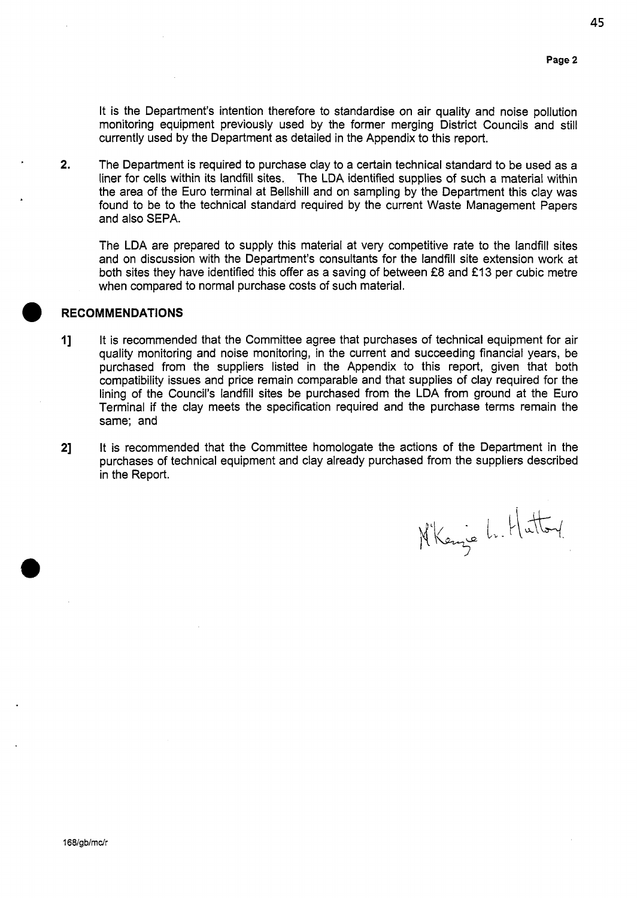**45** 

It is the Department's intention therefore to standardise on air quality and noise pollution monitoring equipment previously used by the former merging District Councils and still currently used by the Department as detailed in the Appendix to this report.

**2.** The Department is required to purchase clay to a certain technical standard to be used as a liner for cells within its landfill sites. The LDA identified supplies of such a material within the area of the Euro terminal at Bellshill and on sampling by the Department this clay was found to be to the technical standard required by the current Waste Management Papers and also SEPA.

The LDA are prepared to supply this material at very competitive rate to the landfill sites and on discussion with the Department's consultants for the landfill site extension work at both sites they have identified this offer as a saving of between **f8** and €13 per cubic metre when compared to normal purchase costs of such material.

### **RECOMMENDATIONS**

- I] It is recommended that the Committee agree that purchases of technical equipment for air quality monitoring and noise monitoring, in the current and succeeding financial years, be purchased from the suppliers listed in the Appendix to this report, given that both compatibility issues and price remain comparable and that supplies of clay required for the lining of the Council's landfill sites be purchased from the LDA from ground at the Euro Terminal if the clay meets the specification required and the purchase terms remain the same; and
- **21** It **is** recommended that the Committee homologate the actions of the Department in the purchases of technical equipment and clay already purchased from the suppliers described in the Report.

Nikanje L. Huttoy